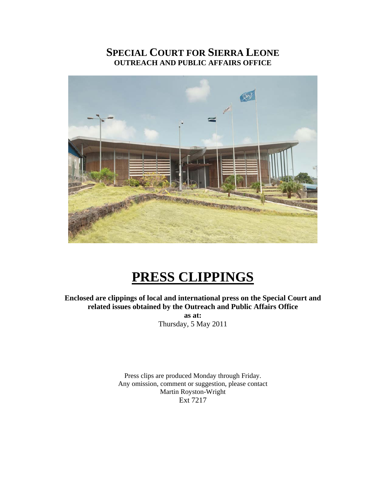## **SPECIAL COURT FOR SIERRA LEONE OUTREACH AND PUBLIC AFFAIRS OFFICE**



# **PRESS CLIPPINGS**

**Enclosed are clippings of local and international press on the Special Court and related issues obtained by the Outreach and Public Affairs Office** 

**as at:**  Thursday, 5 May 2011

Press clips are produced Monday through Friday. Any omission, comment or suggestion, please contact Martin Royston-Wright Ext 7217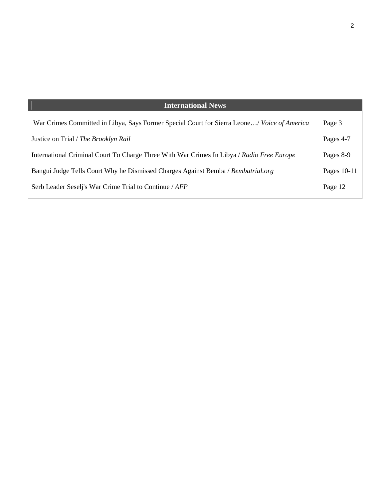| <b>International News</b>                                                                   |             |
|---------------------------------------------------------------------------------------------|-------------|
| War Crimes Committed in Libya, Says Former Special Court for Sierra Leone/ Voice of America | Page 3      |
| Justice on Trial / The Brooklyn Rail                                                        | Pages 4-7   |
| International Criminal Court To Charge Three With War Crimes In Libya / Radio Free Europe   | Pages 8-9   |
| Bangui Judge Tells Court Why he Dismissed Charges Against Bemba / Bembatrial.org            | Pages 10-11 |
| Serb Leader Seseli's War Crime Trial to Continue / AFP                                      | Page 12     |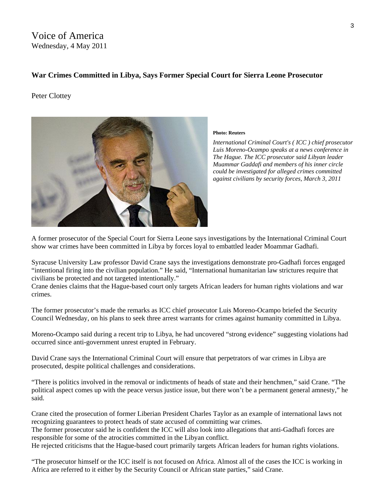Voice of America Wednesday, 4 May 2011

#### **War Crimes Committed in Libya, Says Former Special Court for Sierra Leone Prosecutor**

#### Peter Clottey



#### **Photo: Reuters**

*International Criminal Court's ( ICC ) chief prosecutor Luis Moreno-Ocampo speaks at a news conference in The Hague. The ICC prosecutor said Libyan leader Muammar Gaddafi and members of his inner circle could be investigated for alleged crimes committed against civilians by security forces, March 3, 2011* 

A former prosecutor of the Special Court for Sierra Leone says investigations by the International Criminal Court show war crimes have been committed in Libya by forces loyal to embattled leader Moammar Gadhafi.

Syracuse University Law professor David Crane says the investigations demonstrate pro-Gadhafi forces engaged "intentional firing into the civilian population." He said, "International humanitarian law strictures require that civilians be protected and not targeted intentionally."

Crane denies claims that the Hague-based court only targets African leaders for human rights violations and war crimes.

The former prosecutor's made the remarks as ICC chief prosecutor Luis Moreno-Ocampo briefed the Security Council Wednesday, on his plans to seek three arrest warrants for crimes against humanity committed in Libya.

Moreno-Ocampo said during a recent trip to Libya, he had uncovered "strong evidence" suggesting violations had occurred since anti-government unrest erupted in February.

David Crane says the International Criminal Court will ensure that perpetrators of war crimes in Libya are prosecuted, despite political challenges and considerations.

"There is politics involved in the removal or indictments of heads of state and their henchmen," said Crane. "The political aspect comes up with the peace versus justice issue, but there won't be a permanent general amnesty," he said.

Crane cited the prosecution of former Liberian President Charles Taylor as an example of international laws not recognizing guarantees to protect heads of state accused of committing war crimes.

The former prosecutor said he is confident the ICC will also look into allegations that anti-Gadhafi forces are responsible for some of the atrocities committed in the Libyan conflict.

He rejected criticisms that the Hague-based court primarily targets African leaders for human rights violations.

"The prosecutor himself or the ICC itself is not focused on Africa. Almost all of the cases the ICC is working in Africa are referred to it either by the Security Council or African state parties," said Crane.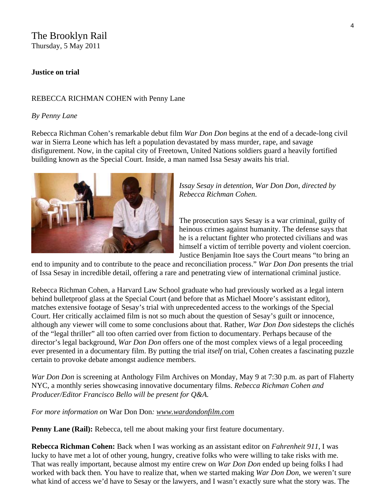#### The Brooklyn Rail Thursday, 5 May 2011

#### **Justice on trial**

#### REBECCA RICHMAN COHEN with Penny Lane

#### *By Penny Lane*

Rebecca Richman Cohen's remarkable debut film *War Don Don* begins at the end of a decade-long civil war in Sierra Leone which has left a population devastated by mass murder, rape, and savage disfigurement. Now, in the capital city of Freetown, United Nations soldiers guard a heavily fortified building known as the Special Court. Inside, a man named Issa Sesay awaits his trial.



*Issay Sesay in detention, War Don Don, directed by Rebecca Richman Cohen.* 

The prosecution says Sesay is a war criminal, guilty of heinous crimes against humanity. The defense says that he is a reluctant fighter who protected civilians and was himself a victim of terrible poverty and violent coercion. Justice Benjamin Itoe says the Court means "to bring an

end to impunity and to contribute to the peace and reconciliation process." *War Don Don* presents the trial of Issa Sesay in incredible detail, offering a rare and penetrating view of international criminal justice.

Rebecca Richman Cohen, a Harvard Law School graduate who had previously worked as a legal intern behind bulletproof glass at the Special Court (and before that as Michael Moore's assistant editor), matches extensive footage of Sesay's trial with unprecedented access to the workings of the Special Court. Her critically acclaimed film is not so much about the question of Sesay's guilt or innocence, although any viewer will come to some conclusions about that. Rather, *War Don Don* sidesteps the clichés of the "legal thriller" all too often carried over from fiction to documentary. Perhaps because of the director's legal background, *War Don Don* offers one of the most complex views of a legal proceeding ever presented in a documentary film. By putting the trial *itself* on trial, Cohen creates a fascinating puzzle certain to provoke debate amongst audience members.

*War Don Don* is screening at Anthology Film Archives on Monday, May 9 at 7:30 p.m. as part of Flaherty NYC, a monthly series showcasing innovative documentary films. *Rebecca Richman Cohen and Producer/Editor Francisco Bello will be present for Q&A.*

*For more information on* War Don Don*: [www.wardondonfilm.com](http://www.wardondonfilm.com/)*

**Penny Lane (Rail):** Rebecca, tell me about making your first feature documentary.

**Rebecca Richman Cohen:** Back when I was working as an assistant editor on *Fahrenheit 911*, I was lucky to have met a lot of other young, hungry, creative folks who were willing to take risks with me. That was really important, because almost my entire crew on *War Don Don* ended up being folks I had worked with back then*.* You have to realize that, when we started making *War Don Don*, we weren't sure what kind of access we'd have to Sesay or the lawyers, and I wasn't exactly sure what the story was. The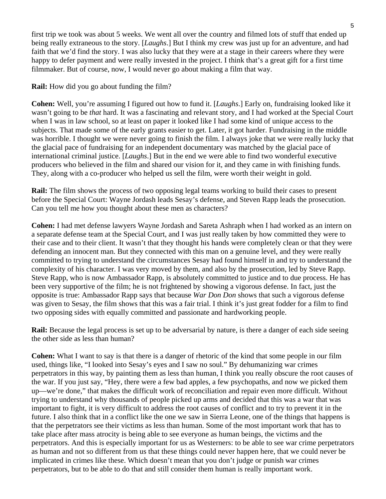first trip we took was about 5 weeks. We went all over the country and filmed lots of stuff that ended up being really extraneous to the story. [*Laughs*.] But I think my crew was just up for an adventure, and had faith that we'd find the story. I was also lucky that they were at a stage in their careers where they were happy to defer payment and were really invested in the project. I think that's a great gift for a first time filmmaker. But of course, now, I would never go about making a film that way.

#### **Rail:** How did you go about funding the film?

**Cohen:** Well, you're assuming I figured out how to fund it. [*Laughs*.] Early on, fundraising looked like it wasn't going to be *that* hard. It was a fascinating and relevant story, and I had worked at the Special Court when I was in law school, so at least on paper it looked like I had some kind of unique access to the subjects. That made some of the early grants easier to get. Later, it got harder. Fundraising in the middle was horrible. I thought we were never going to finish the film. I always joke that we were really lucky that the glacial pace of fundraising for an independent documentary was matched by the glacial pace of international criminal justice. [*Laughs*.] But in the end we were able to find two wonderful executive producers who believed in the film and shared our vision for it, and they came in with finishing funds. They, along with a co-producer who helped us sell the film, were worth their weight in gold.

**Rail:** The film shows the process of two opposing legal teams working to build their cases to present before the Special Court: Wayne Jordash leads Sesay's defense, and Steven Rapp leads the prosecution. Can you tell me how you thought about these men as characters?

**Cohen:** I had met defense lawyers Wayne Jordash and Sareta Ashraph when I had worked as an intern on a separate defense team at the Special Court, and I was just really taken by how committed they were to their case and to their client. It wasn't that they thought his hands were completely clean or that they were defending an innocent man. But they connected with this man on a genuine level, and they were really committed to trying to understand the circumstances Sesay had found himself in and try to understand the complexity of his character. I was very moved by them, and also by the prosecution, led by Steve Rapp. Steve Rapp, who is now Ambassador Rapp, is absolutely committed to justice and to due process. He has been very supportive of the film; he is not frightened by showing a vigorous defense. In fact, just the opposite is true: Ambassador Rapp says that because *War Don Don* shows that such a vigorous defense was given to Sesay, the film shows that this was a fair trial. I think it's just great fodder for a film to find two opposing sides with equally committed and passionate and hardworking people.

**Rail:** Because the legal process is set up to be adversarial by nature, is there a danger of each side seeing the other side as less than human?

**Cohen:** What I want to say is that there is a danger of rhetoric of the kind that some people in our film used, things like, "I looked into Sesay's eyes and I saw no soul." By dehumanizing war crimes perpetrators in this way, by painting them as less than human, I think you really obscure the root causes of the war. If you just say, "Hey, there were a few bad apples, a few psychopaths, and now we picked them up—we're done," that makes the difficult work of reconciliation and repair even more difficult. Without trying to understand why thousands of people picked up arms and decided that this was a war that was important to fight, it is very difficult to address the root causes of conflict and to try to prevent it in the future. I also think that in a conflict like the one we saw in Sierra Leone, one of the things that happens is that the perpetrators see their victims as less than human. Some of the most important work that has to take place after mass atrocity is being able to see everyone as human beings, the victims and the perpetrators. And this is especially important for us as Westerners: to be able to see war crime perpetrators as human and not so different from us that these things could never happen here, that we could never be implicated in crimes like these. Which doesn't mean that you don't judge or punish war crimes perpetrators, but to be able to do that and still consider them human is really important work.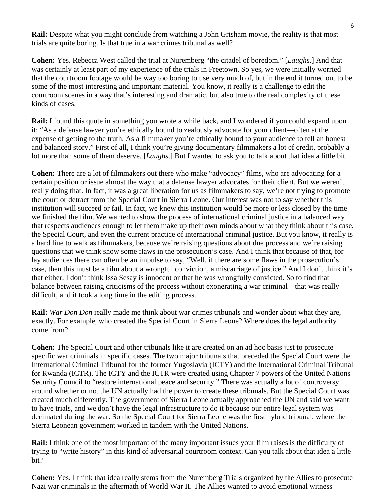**Rail:** Despite what you might conclude from watching a John Grisham movie, the reality is that most trials are quite boring. Is that true in a war crimes tribunal as well?

**Cohen:** Yes. Rebecca West called the trial at Nuremberg "the citadel of boredom." [*Laughs*.] And that was certainly at least part of my experience of the trials in Freetown. So yes, we were initially worried that the courtroom footage would be way too boring to use very much of, but in the end it turned out to be some of the most interesting and important material. You know, it really is a challenge to edit the courtroom scenes in a way that's interesting and dramatic, but also true to the real complexity of these kinds of cases.

**Rail:** I found this quote in something you wrote a while back, and I wondered if you could expand upon it: "As a defense lawyer you're ethically bound to zealously advocate for your client—often at the expense of getting to the truth. As a filmmaker you're ethically bound to your audience to tell an honest and balanced story." First of all, I think you're giving documentary filmmakers a lot of credit, probably a lot more than some of them deserve. [*Laughs*.] But I wanted to ask you to talk about that idea a little bit.

**Cohen:** There are a lot of filmmakers out there who make "advocacy" films, who are advocating for a certain position or issue almost the way that a defense lawyer advocates for their client. But we weren't really doing that. In fact, it was a great liberation for us as filmmakers to say, we're not trying to promote the court or detract from the Special Court in Sierra Leone. Our interest was not to say whether this institution will succeed or fail. In fact, we knew this institution would be more or less closed by the time we finished the film. We wanted to show the process of international criminal justice in a balanced way that respects audiences enough to let them make up their own minds about what they think about this case, the Special Court, and even the current practice of international criminal justice. But you know, it really is a hard line to walk as filmmakers, because we're raising questions about due process and we're raising questions that we think show some flaws in the prosecution's case. And I think that because of that, for lay audiences there can often be an impulse to say, "Well, if there are some flaws in the prosecution's case, then this must be a film about a wrongful conviction, a miscarriage of justice." And I don't think it's that either. I don't think Issa Sesay is innocent or that he was wrongfully convicted. So to find that balance between raising criticisms of the process without exonerating a war criminal—that was really difficult, and it took a long time in the editing process.

**Rail:** *War Don Don* really made me think about war crimes tribunals and wonder about what they are, exactly. For example, who created the Special Court in Sierra Leone? Where does the legal authority come from?

**Cohen:** The Special Court and other tribunals like it are created on an ad hoc basis just to prosecute specific war criminals in specific cases. The two major tribunals that preceded the Special Court were the International Criminal Tribunal for the former Yugoslavia (ICTY) and the International Criminal Tribunal for Rwanda (ICTR). The ICTY and the ICTR were created using Chapter 7 powers of the United Nations Security Council to "restore international peace and security." There was actually a lot of controversy around whether or not the UN actually had the power to create these tribunals. But the Special Court was created much differently. The government of Sierra Leone actually approached the UN and said we want to have trials, and we don't have the legal infrastructure to do it because our entire legal system was decimated during the war. So the Special Court for Sierra Leone was the first hybrid tribunal, where the Sierra Leonean government worked in tandem with the United Nations.

**Rail:** I think one of the most important of the many important issues your film raises is the difficulty of trying to "write history" in this kind of adversarial courtroom context. Can you talk about that idea a little bit?

**Cohen:** Yes. I think that idea really stems from the Nuremberg Trials organized by the Allies to prosecute Nazi war criminals in the aftermath of World War II. The Allies wanted to avoid emotional witness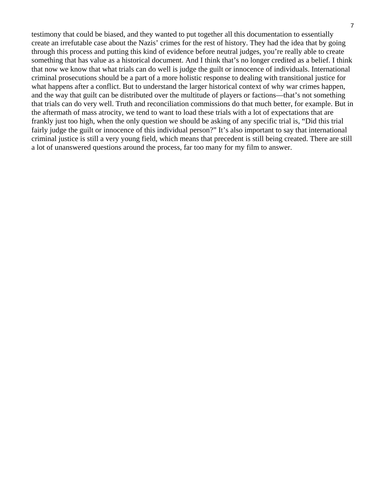testimony that could be biased, and they wanted to put together all this documentation to essentially create an irrefutable case about the Nazis' crimes for the rest of history. They had the idea that by going through this process and putting this kind of evidence before neutral judges, you're really able to create something that has value as a historical document. And I think that's no longer credited as a belief. I think that now we know that what trials can do well is judge the guilt or innocence of individuals. International criminal prosecutions should be a part of a more holistic response to dealing with transitional justice for what happens after a conflict. But to understand the larger historical context of why war crimes happen, and the way that guilt can be distributed over the multitude of players or factions—that's not something that trials can do very well. Truth and reconciliation commissions do that much better, for example. But in the aftermath of mass atrocity, we tend to want to load these trials with a lot of expectations that are frankly just too high, when the only question we should be asking of any specific trial is, "Did this trial fairly judge the guilt or innocence of this individual person?" It's also important to say that international criminal justice is still a very young field, which means that precedent is still being created. There are still a lot of unanswered questions around the process, far too many for my film to answer.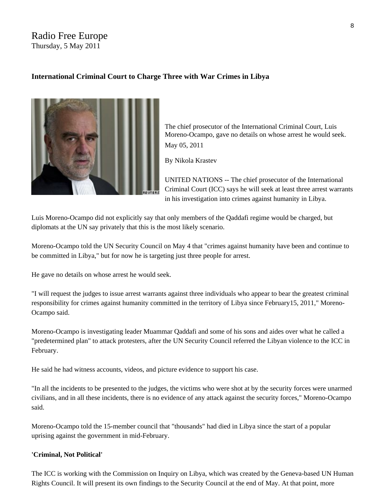#### Radio Free Europe Thursday, 5 May 2011

#### **International Criminal Court to Charge Three with War Crimes in Libya**



The chief prosecutor of the International Criminal Court, Luis Moreno-Ocampo, gave no details on whose arrest he would seek. May 05, 2011

By Nikola Krastev

UNITED NATIONS -- The chief prosecutor of the International Criminal Court (ICC) says he will seek at least three arrest warrants in his investigation into crimes against humanity in Libya.

Luis Moreno-Ocampo did not explicitly say that only members of the Qaddafi regime would be charged, but diplomats at the UN say privately that this is the most likely scenario.

Moreno-Ocampo told the UN Security Council on May 4 that "crimes against humanity have been and continue to be committed in Libya," but for now he is targeting just three people for arrest.

He gave no details on whose arrest he would seek.

"I will request the judges to issue arrest warrants against three individuals who appear to bear the greatest criminal responsibility for crimes against humanity committed in the territory of Libya since February15, 2011," Moreno-Ocampo said.

Moreno-Ocampo is investigating leader Muammar Qaddafi and some of his sons and aides over what he called a "predetermined plan" to attack protesters, after the UN Security Council referred the Libyan violence to the ICC in February.

He said he had witness accounts, videos, and picture evidence to support his case.

"In all the incidents to be presented to the judges, the victims who were shot at by the security forces were unarmed civilians, and in all these incidents, there is no evidence of any attack against the security forces," Moreno-Ocampo said.

Moreno-Ocampo told the 15-member council that "thousands" had died in Libya since the start of a popular uprising against the government in mid-February.

#### **'Criminal, Not Political'**

The ICC is working with the Commission on Inquiry on Libya, which was created by the Geneva-based UN Human Rights Council. It will present its own findings to the Security Council at the end of May. At that point, more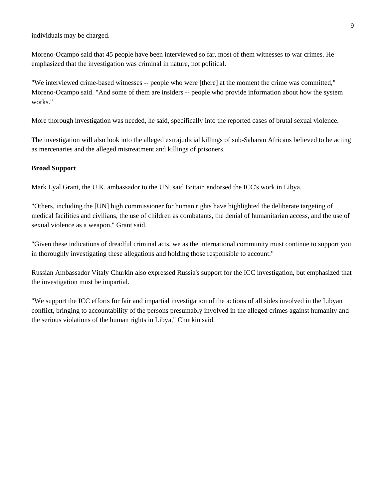individuals may be charged.

Moreno-Ocampo said that 45 people have been interviewed so far, most of them witnesses to war crimes. He emphasized that the investigation was criminal in nature, not political.

"We interviewed crime-based witnesses -- people who were [there] at the moment the crime was committed," Moreno-Ocampo said. "And some of them are insiders -- people who provide information about how the system works."

More thorough investigation was needed, he said, specifically into the reported cases of brutal sexual violence.

The investigation will also look into the alleged extrajudicial killings of sub-Saharan Africans believed to be acting as mercenaries and the alleged mistreatment and killings of prisoners.

#### **Broad Support**

Mark Lyal Grant, the U.K. ambassador to the UN, said Britain endorsed the ICC's work in Libya.

"Others, including the [UN] high commissioner for human rights have highlighted the deliberate targeting of medical facilities and civilians, the use of children as combatants, the denial of humanitarian access, and the use of sexual violence as a weapon," Grant said.

"Given these indications of dreadful criminal acts, we as the international community must continue to support you in thoroughly investigating these allegations and holding those responsible to account."

Russian Ambassador Vitaly Churkin also expressed Russia's support for the ICC investigation, but emphasized that the investigation must be impartial.

"We support the ICC efforts for fair and impartial investigation of the actions of all sides involved in the Libyan conflict, bringing to accountability of the persons presumably involved in the alleged crimes against humanity and the serious violations of the human rights in Libya," Churkin said.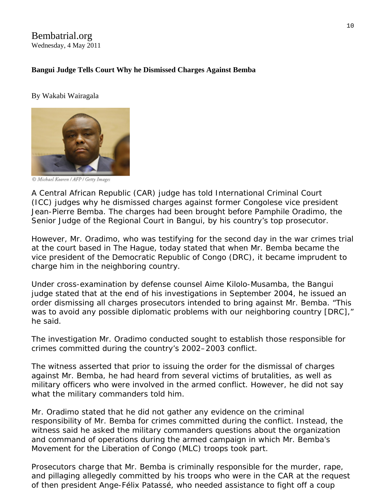### Bembatrial.org Wednesday, 4 May 2011

#### **Bangui Judge Tells Court Why he Dismissed Charges Against Bemba**

#### By Wakabi Wairagala



C Michael Kooren / AFP / Getty Images

A Central African Republic (CAR) judge has told International Criminal Court (ICC) judges why he dismissed charges against former Congolese vice president Jean-Pierre Bemba. The charges had been brought before Pamphile Oradimo, the Senior Judge of the Regional Court in Bangui, by his country's top prosecutor.

However, Mr. Oradimo, who was testifying for the second day in the war crimes trial at the court based in The Hague, today stated that when Mr. Bemba became the vice president of the Democratic Republic of Congo (DRC), it became imprudent to charge him in the neighboring country.

Under cross-examination by defense counsel Aime Kilolo-Musamba, the Bangui judge stated that at the end of his investigations in September 2004, he issued an order dismissing all charges prosecutors intended to bring against Mr. Bemba. "This was to avoid any possible diplomatic problems with our neighboring country [DRC]," he said.

The investigation Mr. Oradimo conducted sought to establish those responsible for crimes committed during the country's 2002–2003 conflict.

The witness asserted that prior to issuing the order for the dismissal of charges against Mr. Bemba, he had heard from several victims of brutalities, as well as military officers who were involved in the armed conflict. However, he did not say what the military commanders told him.

Mr. Oradimo stated that he did not gather any evidence on the criminal responsibility of Mr. Bemba for crimes committed during the conflict. Instead, the witness said he asked the military commanders questions about the organization and command of operations during the armed campaign in which Mr. Bemba's Movement for the Liberation of Congo (MLC) troops took part.

Prosecutors charge that Mr. Bemba is criminally responsible for the murder, rape, and pillaging allegedly committed by his troops who were in the CAR at the request of then president Ange-Félix Patassé, who needed assistance to fight off a coup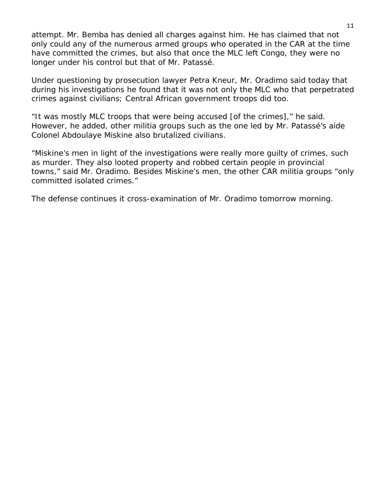attempt. Mr. Bemba has denied all charges against him. He has claimed that not only could any of the numerous armed groups who operated in the CAR at the time have committed the crimes, but also that once the MLC left Congo, they were no longer under his control but that of Mr. Patassé.

Under questioning by prosecution lawyer Petra Kneur, Mr. Oradimo said today that during his investigations he found that it was not only the MLC who that perpetrated crimes against civilians; Central African government troops did too.

"It was mostly MLC troops that were being accused [of the crimes]," he said. However, he added, other militia groups such as the one led by Mr. Patassé's aide Colonel Abdoulaye Miskine also brutalized civilians.

"Miskine's men in light of the investigations were really more guilty of crimes, such as murder. They also looted property and robbed certain people in provincial towns," said Mr. Oradimo. Besides Miskine's men, the other CAR militia groups "only committed isolated crimes."

The defense continues it cross-examination of Mr. Oradimo tomorrow morning.